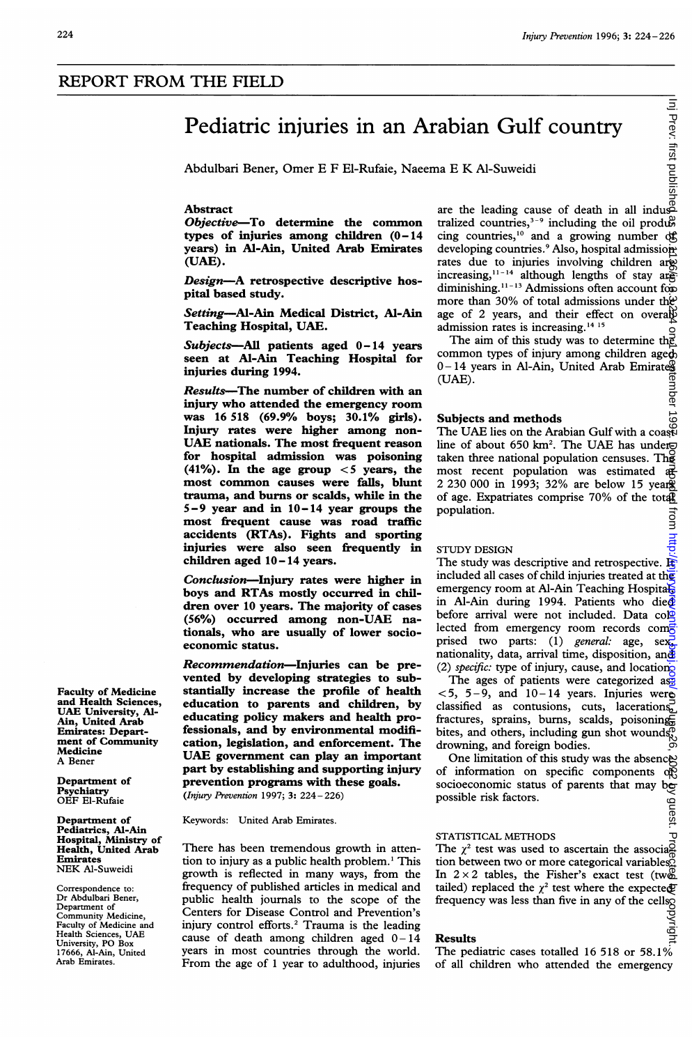# Pediatric injuries in an Arabian Gulf country

Abdulbari Bener, Omer E F El-Rufaie, Naeema E K Al-Suweidi

# Abstract

Objective-To determine the common types of injuries among children (0-14 years) in Al-Ain, United Arab Emirates (UAE).

Design-A retrospective descriptive hospital based study.

Setting---Al-Ain Medical District, Al-Ain Teaching Hospital, UAE.

 $Subjects$ —All patients aged  $0-14$  years seen at Al-Ain Teaching Hospital for injuries during 1994.

Results-The number of children with an injury who attended the emergency room was 16 518 (69.9% boys; 30.1% girls). Injury rates were higher among non-UAE nationals. The most frequent reason for hospital admission was poisoning (41%). In the age group  $<$  5 years, the most common causes were fails, blunt trauma, and burns or scalds, while in the 5-9 year and in 10-14 year groups the most frequent cause was road traffic accidents (RTAs). Fights and sporting injuries were also seen frequently in children aged 10-14 years.

Conclusion-Injury rates were higher in boys and RTAs mostly occurred in children over 10 years. The majority of cases (56%) occurred among non-UAE nationals, who are usually of lower socioeconomic status.

Recommendation-Injuries can be prevented by developing strategies to substantially increase the profile of health education to parents and children, by educating policy makers and health professionals, and by environmental modification, legislation, and enforcement. The UAE government can play an important part by establishing and supporting injury prevention programs with these goals. (Injury Prevention 1997; 3: 224- 226)

Keywords: United Arab Emirates.

There has been tremendous growth in attention to injury as a public health problem.' This growth is reflected in many ways, from the frequency of published articles in medical and public health journals to the scope of the Centers for Disease Control and Prevention's injury control efforts.2 Trauma is the leading cause of death among children aged  $0-14$ years in most countries through the world. From the age of <sup>1</sup> year to adulthood, injuries E<br>
Fabian Gulf country<br>
ma E K Al-Suweidi<br>
are the leading cause of death in all indus-<br>
religion countries  $\frac{3-9}{2}$  including the sil gradule tralized countries,<sup>3-9</sup> including the oil produ $\mathcal{C}$ cing countries,<sup>10</sup> and a growing number of developing countries.<sup>9</sup> Also, hospital admissionrates due to injuries involving children are increasing,  $11-14$  although lengths of stay are diminishing.<sup>11-13</sup> Admissions often account for more than 30% of total admissions under the age of 2 years, and their effect on overally admission rates is increasing.<sup>14 15</sup> on June 26, 2022 by guest. Protected By first published by comparing the injuryprevention. Protected from and the injury protected from a september 1998. 2022 or 10.114 or 10.113.1 September 1 September 1 September 1 Sept

The aim of this study was to determine the common types of injury among children aged 0-14 years in Al-Ain, United Arab Emirateg (UAE). tember

ಕ

।<br>चि

J

्र

# Subjects and methods

The UAE lies on the Arabian Gulf with a coast line of about 650 km<sup>2</sup>. The UAE has under $\Xi$ taken three national population censuses. The most recent population was estimated  $\frac{1}{n+1}$ 2 230 000 in 1993; 32% are below 15 years of age. Expatriates comprise 70% of the total population. lrom

## STUDY DESIGN

The study was descriptive and retrospective.  $E$ included all cases of child injuries treated at the emergency room at Al-Ain Teaching Hospital in Al-Ain during 1994. Patients who die $\Phi$ before arrival were not included. Data col $\mathbb{Q}$ lected from emergency room records com<sup>5</sup> prised two parts: (1) general: age, sex, nationality, data, arrival time, disposition, and (2) specific: type of injury, cause, and location.

The ages of patients were categorized as:  $<$  5, 5-9, and 10-14 years. Injuries were classified as contusions, cuts, lacerations, fractures, sprains, burns, scalds, poisoning bites, and others, including gun shot wounds, drowning, and foreign bodies.

One limitation of this study was the absence of information on specific components of socioeconomic status of parents that may be possible risk factors. y guest.

#### STATISTICAL METHODS

The  $\chi^2$  test was used to ascertain the association between two or more categorical variables. In  $2 \times 2$  tables, the Fisher's exact test (two) tailed) replaced the  $\chi^2$  test where the expected frequency was less than five in any of the cells

#### Results

 $\frac{5}{9}$ <br>Results<br>The pediatric cases totalled 16 518 or 58.1% of all children who attended the emergency

Faculty of Medicine and Health Sciences, UAE University, Al-Ain, United Arab Emirates: Department of Community Medicine A Bener

Department of Psychiatry OEF El-Rufaie

Department of Pediatrics, Al-Ain Hospital, Ministry of Health, United Arab Emirates NEK Al-Suweidi

Correspondence to: Dr Abdulbari Bener, Department of Community Medicine, Faculty of Medicine and Health Sciences, UAE University, PO Box 17666, Al-Ain, United Arab Emirates.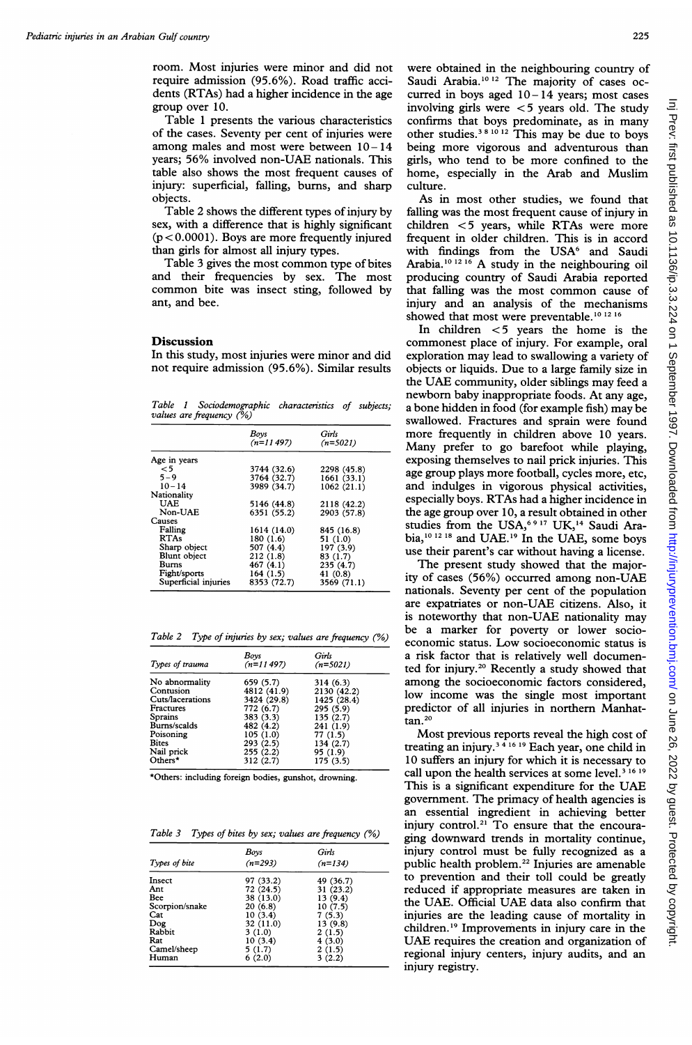room. Most injuries were minor and did not require admission (95.6%). Road traffic accidents (RTAs) had a higher incidence in the age group over 10.

Table <sup>1</sup> presents the various characteristics of the cases. Seventy per cent of injuries were among males and most were between  $10 - 14$ years; 56% involved non-UAE nationals. This table also shows the most frequent causes of injury: superficial, falling, bums, and sharp objects.

Table 2 shows the different types of injury by sex, with a difference that is highly significant  $(p < 0.0001)$ . Boys are more frequently injured than girls for almost all injury types.

Table <sup>3</sup> gives the most common type of bites and their frequencies by sex. The most common bite was insect sting, followed by ant, and bee.

## **Discussion**

In this study, most injuries were minor and did not require admission (95.6%). Similar results

Table <sup>1</sup> Sociodemographic characteristics of subjects; values are frequency (%)

| Boys<br>$(n=11497)$ | Girls<br>$(n=5021)$                                                                                     |
|---------------------|---------------------------------------------------------------------------------------------------------|
|                     |                                                                                                         |
| 3744 (32.6)         | 2298 (45.8)                                                                                             |
| 3764 (32.7)         | 1661 (33.1)                                                                                             |
| 3989 (34.7)         | 1062(21.1)                                                                                              |
|                     |                                                                                                         |
| 5146 (44.8)         | 2118 (42.2)                                                                                             |
|                     | 2903 (57.8)                                                                                             |
|                     |                                                                                                         |
|                     | 845 (16.8)                                                                                              |
|                     | 51 (1.0)                                                                                                |
|                     | 197 (3.9)                                                                                               |
|                     | 83 (1.7)                                                                                                |
|                     | 235(4.7)                                                                                                |
|                     | 41(0.8)                                                                                                 |
|                     | 3569 (71.1)                                                                                             |
|                     | 6351 (55.2)<br>1614 (14.0)<br>180(1.6)<br>507 (4.4)<br>212(1.8)<br>467(4.1)<br>164 (1.5)<br>8353 (72.7) |

Table 2 Type of injuries by sex; values are frequency (%)

| Types of trauma  | Boys<br>$(n=11497)$ | Girls<br>$(n=5021)$ |
|------------------|---------------------|---------------------|
| No abnormality   | 659 (5.7)           | 314 (6.3)           |
| Contusion        | 4812 (41.9)         | 2130 (42.2)         |
| Cuts/lacerations | 3424 (29.8)         | 1425 (28.4)         |
| <b>Fractures</b> | 772 (6.7)           | 295 (5.9)           |
| <b>Sprains</b>   | 383(3.3)            | 135(2.7)            |
| Burns/scalds     | 482 (4.2)           | 241 (1.9)           |
| Poisoning        | 105(1.0)            | 77 (1.5)            |
| <b>Bites</b>     | 293(2.5)            | 134 (2.7)           |
| Nail prick       | 255(2.2)            | 95 (1.9)            |
| Others*          | 312(2.7)            | 175 (3.5)           |

\*Others: including foreign bodies, gunshot, drowning.

Table 3 Types of bites by sex; values are frequency (%)

|                | Boys      | Girls     |
|----------------|-----------|-----------|
| Types of bite  | $(n=293)$ | $(n=134)$ |
| Insect         | 97 (33.2) | 49 (36.7) |
| Ant            | 72 (24.5) | 31 (23.2) |
| Bee            | 38 (13.0) | 13 (9.4)  |
| Scorpion/snake | 20(6.8)   | 10(7.5)   |
| Cat            | 10(3.4)   | 7(5.3)    |
| Dog            | 32 (11.0) | 13 (9.8)  |
| Rabbit         | 3(1.0)    | 2(1.5)    |
| Rat            | 10(3.4)   | 4(3.0)    |
| Camel/sheep    | 5(1.7)    | 2(1.5)    |
| Human          | 6(2.0)    | 3(2.2)    |

were obtained in the neighbouring country of Saudi Arabia.<sup>10 12</sup> The majority of cases occurred in boys aged  $10-14$  years; most cases involving girls were  $<$  5 years old. The study confirms that boys predominate, as in many other studies.<sup>381012</sup> This may be due to boys being more vigorous and adventurous than girls, who tend to be more confined to the home, especially in the Arab and Muslim culture.

As in most other studies, we found that falling was the most frequent cause of injury in children  $<$  5 years, while RTAs were more frequent in older children. This is in accord with findings from the USA<sup>6</sup> and Saudi Arabia.<sup>10 12 16</sup> A study in the neighbouring oil producing country of Saudi Arabia reported that falling was the most common cause of injury and an analysis of the mechanisms showed that most were preventable.<sup>10 12 16</sup>

In children < <sup>5</sup> years the home is the commonest place of injury. For example, oral exploration may lead to swallowing <sup>a</sup> variety of objects or liquids. Due to <sup>a</sup> large family size in the UAE community, older siblings may feed <sup>a</sup> newborn baby inappropriate foods. At any age, <sup>a</sup> bone hidden in food (for example fish) may be swallowed. Fractures and sprain were found more frequently in children above 10 years. Many prefer to go barefoot while playing, exposing themselves to nail prick injuries. This age group plays more football, cycles more, etc, and indulges in vigorous physical activities, especially boys. RTAs had <sup>a</sup> higher incidence in the age group over 10, a result obtained in other studies from the USA,<sup>6917</sup> UK,<sup>14</sup> Saudi Arabia,10 <sup>1218</sup> and UAE.'9 In the UAE, some boys use their parent's car without having a license.

The present study showed that the majority of cases (56%) occurred among non-UAE nationals. Seventy per cent of the population are expatriates or non-UAE citizens. Also, it is noteworthy that non-UAE nationality may be a marker for poverty or lower socioeconomic status. Low socioeconomic status is a risk factor that is relatively well documented for injury.20 Recently a study showed that among the socioeconomic factors considered, low income was the single most important predictor of all injuries in northern Manhat $tan.<sup>20</sup>$ 

Most previous reports reveal the high cost of treating an injury. <sup>4</sup> <sup>16</sup> <sup>19</sup> Each year, one child in 10 suffers an injury for which it is necessary to call upon the health services at some level.<sup>3 16 19</sup> This is <sup>a</sup> significant expenditure for the UAE government. The primacy of health agencies is an essential ingredient in achieving better injury control.<sup>21</sup> To ensure that the encouraging downward trends in mortality continue, injury control must be fully recognized as a public health problem.<sup>22</sup> Injuries are amenable to prevention and their toll could be greatly reduced if appropriate measures are taken in the UAE. Official UAE data also confirm that injuries are the leading cause of mortality in children."' Improvements in injury care in the UAE requires the creation and organization of regional injury centers, injury audits, and an injury registry.